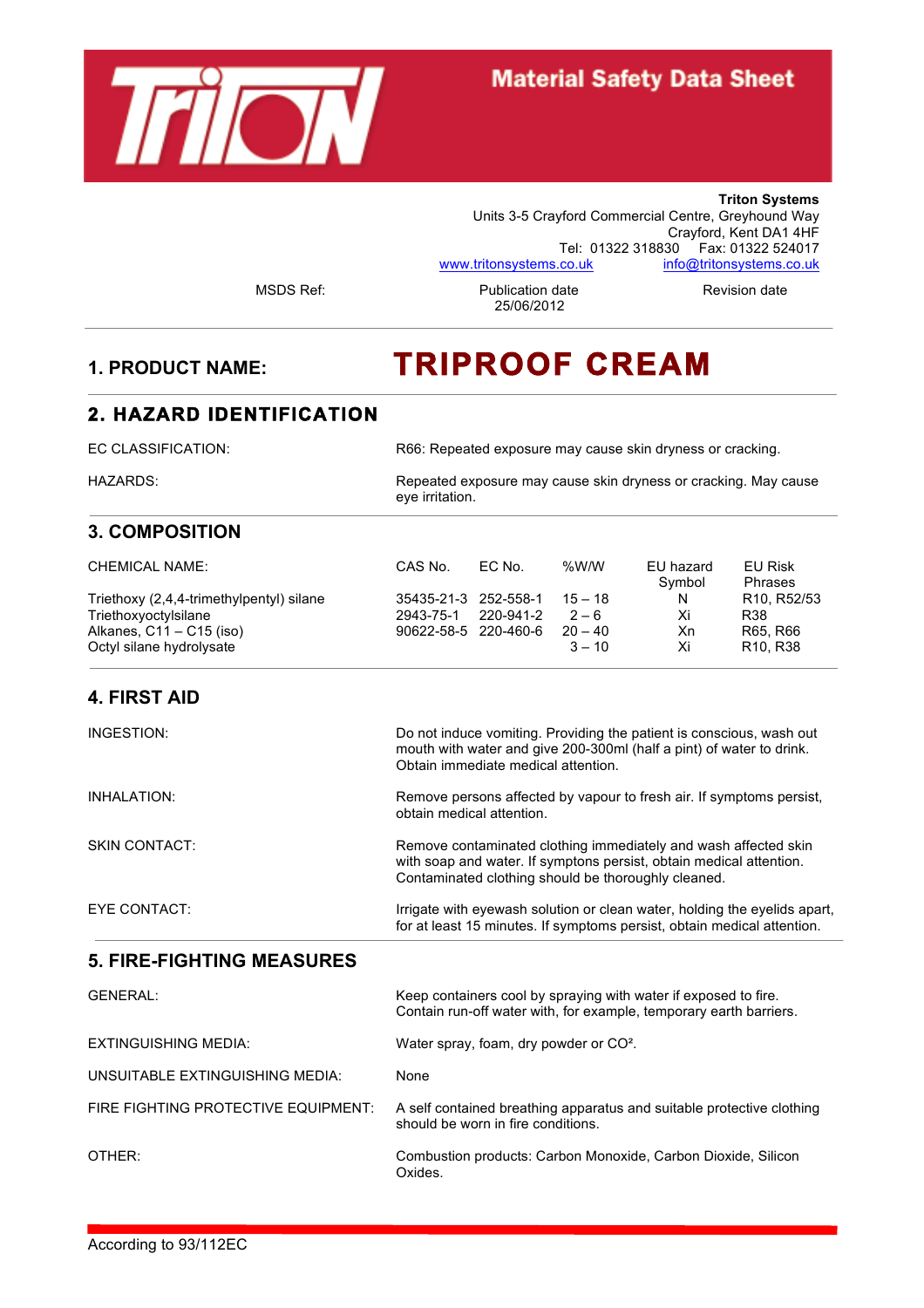

# **Material Safety Data Sheet**

**Triton Systems** Units 3-5 Crayford Commercial Centre, Greyhound Way Crayford, Kent DA1 4HF Tel: 01322 318830 Fax: 01322 524017 www.tritonsystems.co.uk info@tritonsystems.co.uk

MSDS Ref: Publication date Revision date 25/06/2012

# **1. PRODUCT NAME: TRIPROOF CREAM**

#### **2. HAZARD IDENTIFICATION**

EC CLASSIFICATION: R66: Repeated exposure may cause skin dryness or cracking.

HAZARDS: Repeated exposure may cause skin dryness or cracking. May cause eye irritation.

# **3. COMPOSITION**

| <b>CHEMICAL NAME:</b>                    | CAS No.              | EC No.    | %W/W      | EU hazard<br>Symbol | EU Risk<br><b>Phrases</b>             |
|------------------------------------------|----------------------|-----------|-----------|---------------------|---------------------------------------|
| Triethoxy (2,4,4-trimethylpentyl) silane | 35435-21-3 252-558-1 |           | $15 - 18$ | N                   | R <sub>10</sub> , R <sub>52</sub> /53 |
| Triethoxyoctylsilane                     | 2943-75-1            | 220-941-2 | $2 - 6$   | Хi                  | R38                                   |
| Alkanes, $C11 - C15$ (iso)               | 90622-58-5 220-460-6 |           | $20 - 40$ | Xn                  | R65, R66                              |
| Octyl silane hydrolysate                 |                      |           | $3 - 10$  | Xi                  | R <sub>10</sub> , R <sub>38</sub>     |

# **4. FIRST AID**

| INGESTION:    | Do not induce vomiting. Providing the patient is conscious, wash out<br>mouth with water and give 200-300ml (half a pint) of water to drink.<br>Obtain immediate medical attention.           |
|---------------|-----------------------------------------------------------------------------------------------------------------------------------------------------------------------------------------------|
| INHALATION:   | Remove persons affected by vapour to fresh air. If symptoms persist,<br>obtain medical attention.                                                                                             |
| SKIN CONTACT: | Remove contaminated clothing immediately and wash affected skin<br>with soap and water. If symptons persist, obtain medical attention.<br>Contaminated clothing should be thoroughly cleaned. |
| EYE CONTACT:  | Irrigate with eyewash solution or clean water, holding the eyelids apart,<br>for at least 15 minutes. If symptoms persist, obtain medical attention.                                          |

# **5. FIRE-FIGHTING MEASURES**

| GENERAL:                            | Keep containers cool by spraying with water if exposed to fire.<br>Contain run-off water with, for example, temporary earth barriers. |
|-------------------------------------|---------------------------------------------------------------------------------------------------------------------------------------|
| EXTINGUISHING MEDIA:                | Water spray, foam, dry powder or CO <sup>2</sup> .                                                                                    |
| UNSUITABLE EXTINGUISHING MEDIA:     | None                                                                                                                                  |
| FIRE FIGHTING PROTECTIVE EQUIPMENT: | A self contained breathing apparatus and suitable protective clothing<br>should be worn in fire conditions.                           |
| OTHER:                              | Combustion products: Carbon Monoxide, Carbon Dioxide, Silicon<br>Oxides.                                                              |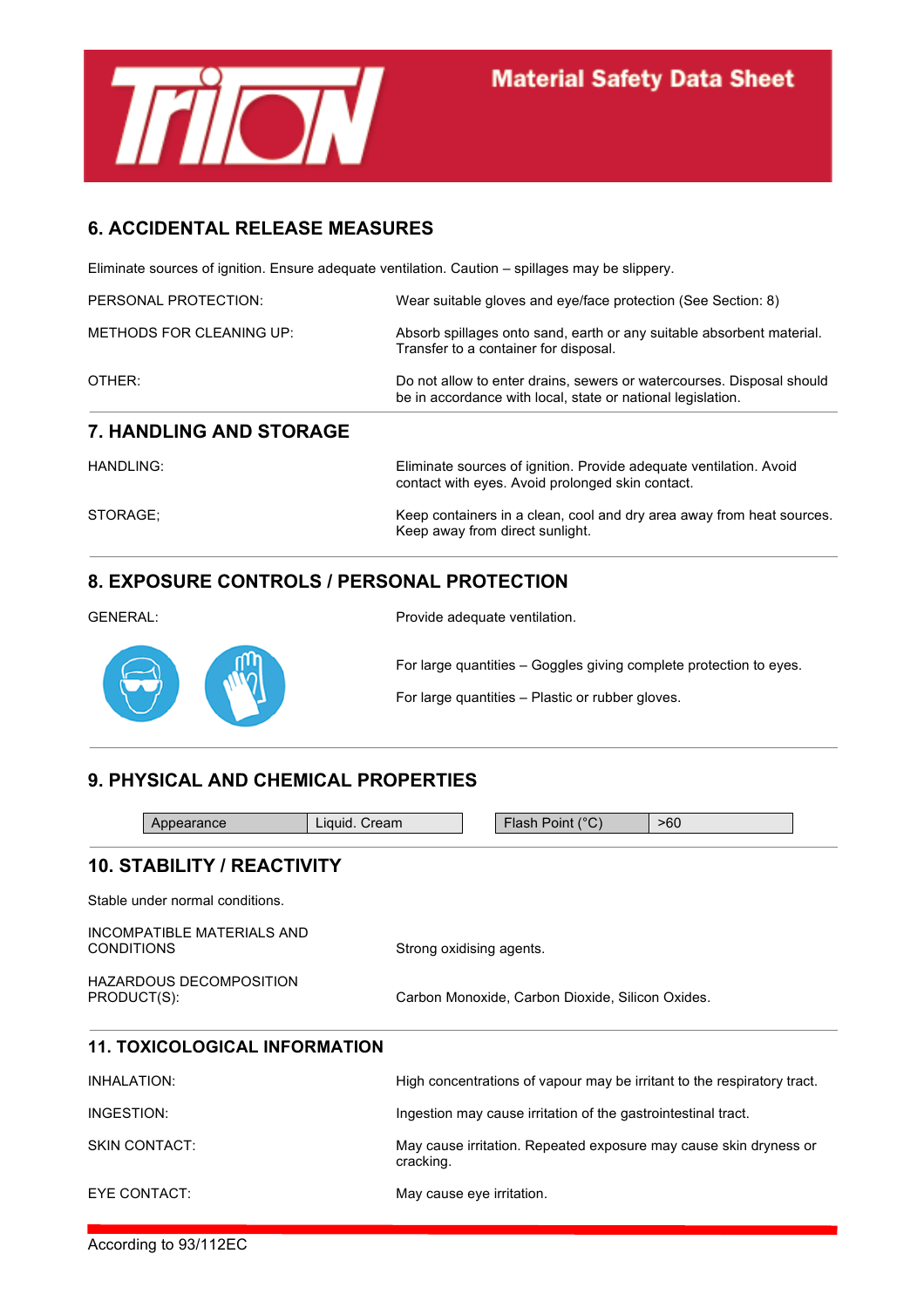

# **6. ACCIDENTAL RELEASE MEASURES**

Eliminate sources of ignition. Ensure adequate ventilation. Caution – spillages may be slippery.

| HANDLING:                      | Eliminate sources of ignition. Provide adequate ventilation. Avoid                                                                   |
|--------------------------------|--------------------------------------------------------------------------------------------------------------------------------------|
| <b>7. HANDLING AND STORAGE</b> |                                                                                                                                      |
| OTHER:                         | Do not allow to enter drains, sewers or watercourses. Disposal should<br>be in accordance with local, state or national legislation. |
| METHODS FOR CLEANING UP:       | Absorb spillages onto sand, earth or any suitable absorbent material.<br>Transfer to a container for disposal.                       |
| PERSONAL PROTECTION:           | Wear suitable gloves and eye/face protection (See Section: 8)                                                                        |

contact with eyes. Avoid prolonged skin contact. STORAGE; STORAGE; STORAGE; STORAGE; STORAGE; STORAGE; STORAGE; STORAGE; STORAGE; STORAGE AND HEAT SOLUTION IN ME Keep away from direct sunlight.

# **8. EXPOSURE CONTROLS / PERSONAL PROTECTION**

| <b>GENERAL:</b> | Provide adequate ventilation.                                                                                          |
|-----------------|------------------------------------------------------------------------------------------------------------------------|
| S W             | For large quantities – Goggles giving complete protection to eyes.<br>For large quantities - Plastic or rubber gloves. |

# **9. PHYSICAL AND CHEMICAL PROPERTIES**

| Appearance                                      | Liquid. Cream | Flash Point (°C)                                                        | >60 |  |
|-------------------------------------------------|---------------|-------------------------------------------------------------------------|-----|--|
| <b>10. STABILITY / REACTIVITY</b>               |               |                                                                         |     |  |
| Stable under normal conditions.                 |               |                                                                         |     |  |
| INCOMPATIBLE MATERIALS AND<br><b>CONDITIONS</b> |               | Strong oxidising agents.                                                |     |  |
| <b>HAZARDOUS DECOMPOSITION</b><br>PRODUCT(S):   |               | Carbon Monoxide, Carbon Dioxide, Silicon Oxides.                        |     |  |
| <b>11. TOXICOLOGICAL INFORMATION</b>            |               |                                                                         |     |  |
| <b>INHALATION:</b>                              |               | High concentrations of vapour may be irritant to the respiratory tract. |     |  |
| INGESTION:                                      |               | Ingestion may cause irritation of the gastrointestinal tract.           |     |  |
| <b>SKIN CONTACT:</b>                            | cracking.     | May cause irritation. Repeated exposure may cause skin dryness or       |     |  |
| EYE CONTACT:                                    |               | May cause eye irritation.                                               |     |  |